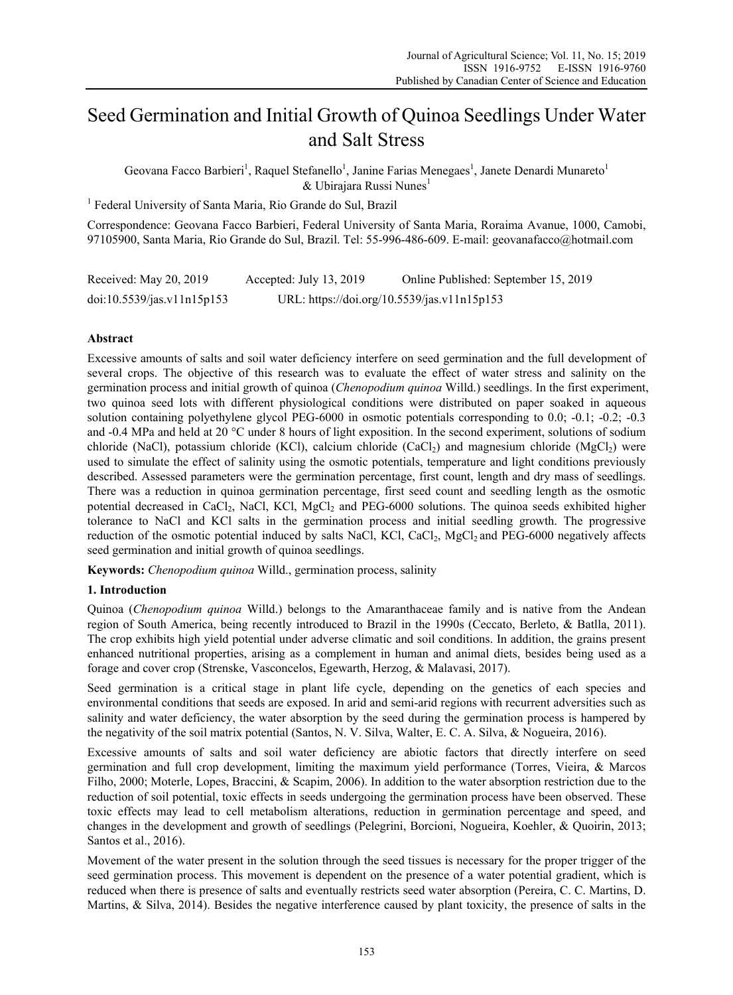# Seed Germination and Initial Growth of Quinoa Seedlings Under Water and Salt Stress

Geovana Facco Barbieri<sup>1</sup>, Raquel Stefanello<sup>1</sup>, Janine Farias Menegaes<sup>1</sup>, Janete Denardi Munareto<sup>1</sup>  $&$  Ubirajara Russi Nunes<sup>1</sup>

<sup>1</sup> Federal University of Santa Maria, Rio Grande do Sul, Brazil

Correspondence: Geovana Facco Barbieri, Federal University of Santa Maria, Roraima Avanue, 1000, Camobi, 97105900, Santa Maria, Rio Grande do Sul, Brazil. Tel: 55-996-486-609. E-mail: geovanafacco@hotmail.com

| Received: May 20, 2019     | Accepted: July 13, 2019 | Online Published: September 15, 2019        |
|----------------------------|-------------------------|---------------------------------------------|
| doi:10.5539/jas.v11n15p153 |                         | URL: https://doi.org/10.5539/jas.v11n15p153 |

# **Abstract**

Excessive amounts of salts and soil water deficiency interfere on seed germination and the full development of several crops. The objective of this research was to evaluate the effect of water stress and salinity on the germination process and initial growth of quinoa (*Chenopodium quinoa* Willd.) seedlings. In the first experiment, two quinoa seed lots with different physiological conditions were distributed on paper soaked in aqueous solution containing polyethylene glycol PEG-6000 in osmotic potentials corresponding to 0.0; -0.1; -0.2; -0.3 and -0.4 MPa and held at 20 °C under 8 hours of light exposition. In the second experiment, solutions of sodium chloride (NaCl), potassium chloride (KCl), calcium chloride (CaCl<sub>2</sub>) and magnesium chloride (MgCl<sub>2</sub>) were used to simulate the effect of salinity using the osmotic potentials, temperature and light conditions previously described. Assessed parameters were the germination percentage, first count, length and dry mass of seedlings. There was a reduction in quinoa germination percentage, first seed count and seedling length as the osmotic potential decreased in CaCl<sub>2</sub>, NaCl, KCl, MgCl<sub>2</sub> and PEG-6000 solutions. The quinoa seeds exhibited higher tolerance to NaCl and KCl salts in the germination process and initial seedling growth. The progressive reduction of the osmotic potential induced by salts NaCl, KCl, CaCl<sub>2</sub>, MgCl<sub>2</sub> and PEG-6000 negatively affects seed germination and initial growth of quinoa seedlings.

**Keywords:** *Chenopodium quinoa* Willd., germination process, salinity

## **1. Introduction**

Quinoa (*Chenopodium quinoa* Willd.) belongs to the Amaranthaceae family and is native from the Andean region of South America, being recently introduced to Brazil in the 1990s (Ceccato, Berleto, & Batlla, 2011). The crop exhibits high yield potential under adverse climatic and soil conditions. In addition, the grains present enhanced nutritional properties, arising as a complement in human and animal diets, besides being used as a forage and cover crop (Strenske, Vasconcelos, Egewarth, Herzog, & Malavasi, 2017).

Seed germination is a critical stage in plant life cycle, depending on the genetics of each species and environmental conditions that seeds are exposed. In arid and semi-arid regions with recurrent adversities such as salinity and water deficiency, the water absorption by the seed during the germination process is hampered by the negativity of the soil matrix potential (Santos, N. V. Silva, Walter, E. C. A. Silva, & Nogueira, 2016).

Excessive amounts of salts and soil water deficiency are abiotic factors that directly interfere on seed germination and full crop development, limiting the maximum yield performance (Torres, Vieira, & Marcos Filho, 2000; Moterle, Lopes, Braccini, & Scapim, 2006). In addition to the water absorption restriction due to the reduction of soil potential, toxic effects in seeds undergoing the germination process have been observed. These toxic effects may lead to cell metabolism alterations, reduction in germination percentage and speed, and changes in the development and growth of seedlings (Pelegrini, Borcioni, Nogueira, Koehler, & Quoirin, 2013; Santos et al., 2016).

Movement of the water present in the solution through the seed tissues is necessary for the proper trigger of the seed germination process. This movement is dependent on the presence of a water potential gradient, which is reduced when there is presence of salts and eventually restricts seed water absorption (Pereira, C. C. Martins, D. Martins, & Silva, 2014). Besides the negative interference caused by plant toxicity, the presence of salts in the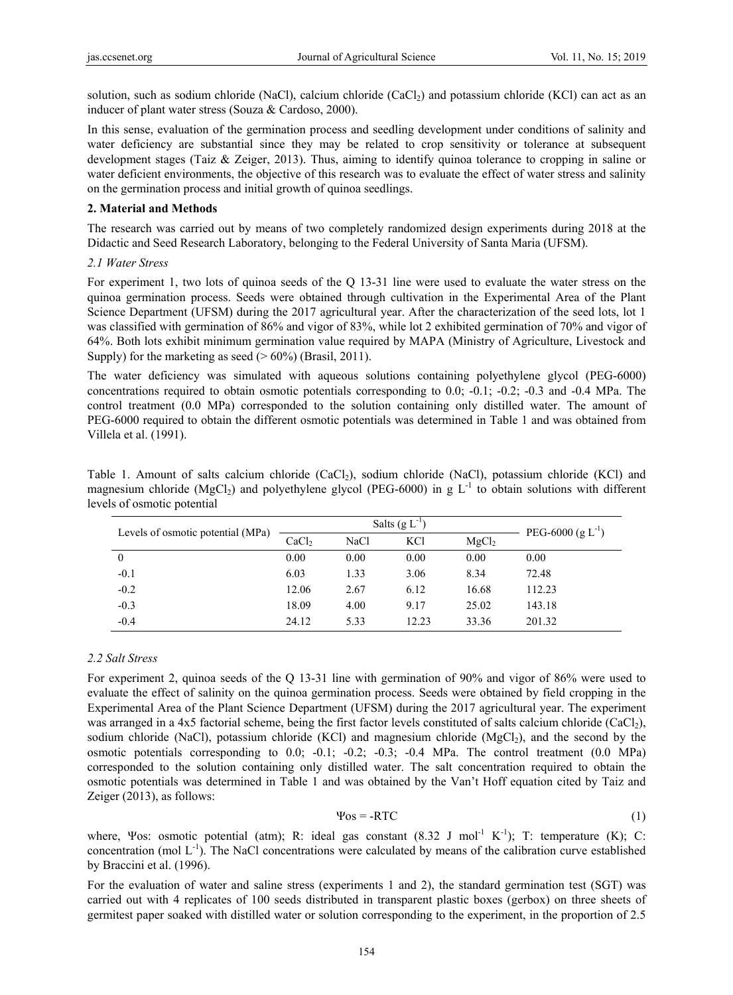solution, such as sodium chloride (NaCl), calcium chloride  $(CaCl<sub>2</sub>)$  and potassium chloride (KCl) can act as an inducer of plant water stress (Souza & Cardoso, 2000).

In this sense, evaluation of the germination process and seedling development under conditions of salinity and water deficiency are substantial since they may be related to crop sensitivity or tolerance at subsequent development stages (Taiz & Zeiger, 2013). Thus, aiming to identify quinoa tolerance to cropping in saline or water deficient environments, the objective of this research was to evaluate the effect of water stress and salinity on the germination process and initial growth of quinoa seedlings.

#### **2. Material and Methods**

The research was carried out by means of two completely randomized design experiments during 2018 at the Didactic and Seed Research Laboratory, belonging to the Federal University of Santa Maria (UFSM).

#### *2.1 Water Stress*

For experiment 1, two lots of quinoa seeds of the Q 13-31 line were used to evaluate the water stress on the quinoa germination process. Seeds were obtained through cultivation in the Experimental Area of the Plant Science Department (UFSM) during the 2017 agricultural year. After the characterization of the seed lots, lot 1 was classified with germination of 86% and vigor of 83%, while lot 2 exhibited germination of 70% and vigor of 64%. Both lots exhibit minimum germination value required by MAPA (Ministry of Agriculture, Livestock and Supply) for the marketing as seed  $(> 60\%)$  (Brasil, 2011).

The water deficiency was simulated with aqueous solutions containing polyethylene glycol (PEG-6000) concentrations required to obtain osmotic potentials corresponding to 0.0; -0.1; -0.2; -0.3 and -0.4 MPa. The control treatment (0.0 MPa) corresponded to the solution containing only distilled water. The amount of PEG-6000 required to obtain the different osmotic potentials was determined in Table 1 and was obtained from Villela et al. (1991).

| Table 1. Amount of salts calcium chloride (CaCl <sub>2</sub> ), sodium chloride (NaCl), potassium chloride (KCl) and        |  |  |  |  |  |  |
|-----------------------------------------------------------------------------------------------------------------------------|--|--|--|--|--|--|
| magnesium chloride (MgCl <sub>2</sub> ) and polyethylene glycol (PEG-6000) in g $L^{-1}$ to obtain solutions with different |  |  |  |  |  |  |
| levels of osmotic potential                                                                                                 |  |  |  |  |  |  |

|                                   |                   | Salts $(g L^{-1})$ | PEG-6000 (g $L^{-1}$ ) |                   |        |
|-----------------------------------|-------------------|--------------------|------------------------|-------------------|--------|
| Levels of osmotic potential (MPa) | CaCl <sub>2</sub> | NaCl               | <b>KCl</b>             | MgCl <sub>2</sub> |        |
| $\mathbf{0}$                      | 0.00              | 0.00               | 0.00                   | 0.00              | 0.00   |
| $-0.1$                            | 6.03              | 1.33               | 3.06                   | 8.34              | 72.48  |
| $-0.2$                            | 12.06             | 2.67               | 6.12                   | 16.68             | 112.23 |
| $-0.3$                            | 18.09             | 4.00               | 9.17                   | 25.02             | 143.18 |
| $-0.4$                            | 24.12             | 5.33               | 12.23                  | 33.36             | 201.32 |

#### *2.2 Salt Stress*

For experiment 2, quinoa seeds of the Q 13-31 line with germination of 90% and vigor of 86% were used to evaluate the effect of salinity on the quinoa germination process. Seeds were obtained by field cropping in the Experimental Area of the Plant Science Department (UFSM) during the 2017 agricultural year. The experiment was arranged in a 4x5 factorial scheme, being the first factor levels constituted of salts calcium chloride (CaCl<sub>2</sub>), sodium chloride (NaCl), potassium chloride (KCl) and magnesium chloride (MgCl<sub>2</sub>), and the second by the osmotic potentials corresponding to 0.0; -0.1; -0.2; -0.3; -0.4 MPa. The control treatment (0.0 MPa) corresponded to the solution containing only distilled water. The salt concentration required to obtain the osmotic potentials was determined in Table 1 and was obtained by the Van't Hoff equation cited by Taiz and Zeiger (2013), as follows:

$$
\Psi_{0S} = -RTC \tag{1}
$$

where, Ψos: osmotic potential (atm); R: ideal gas constant  $(8.32 \text{ J mol}^{-1} \text{ K}^{-1})$ ; T: temperature (K); C: concentration (mol  $L^{-1}$ ). The NaCl concentrations were calculated by means of the calibration curve established by Braccini et al. (1996).

For the evaluation of water and saline stress (experiments 1 and 2), the standard germination test (SGT) was carried out with 4 replicates of 100 seeds distributed in transparent plastic boxes (gerbox) on three sheets of germitest paper soaked with distilled water or solution corresponding to the experiment, in the proportion of 2.5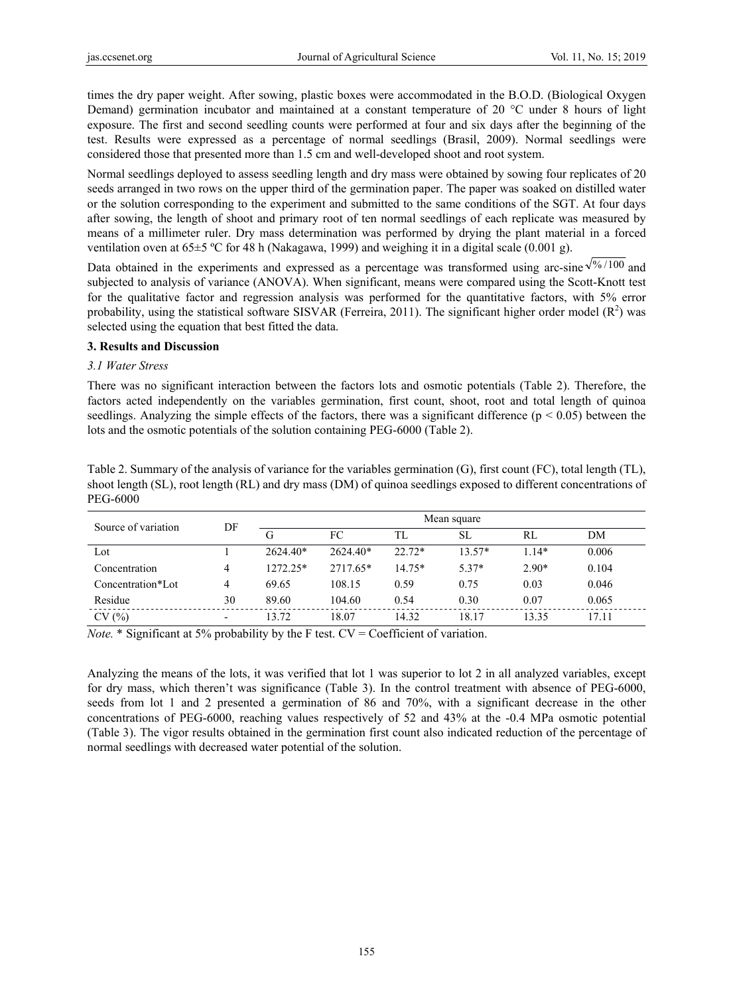times the dry paper weight. After sowing, plastic boxes were accommodated in the B.O.D. (Biological Oxygen Demand) germination incubator and maintained at a constant temperature of 20 °C under 8 hours of light exposure. The first and second seedling counts were performed at four and six days after the beginning of the test. Results were expressed as a percentage of normal seedlings (Brasil, 2009). Normal seedlings were considered those that presented more than 1.5 cm and well-developed shoot and root system.

Normal seedlings deployed to assess seedling length and dry mass were obtained by sowing four replicates of 20 seeds arranged in two rows on the upper third of the germination paper. The paper was soaked on distilled water or the solution corresponding to the experiment and submitted to the same conditions of the SGT. At four days after sowing, the length of shoot and primary root of ten normal seedlings of each replicate was measured by means of a millimeter ruler. Dry mass determination was performed by drying the plant material in a forced ventilation oven at  $65\pm5$  °C for 48 h (Nakagawa, 1999) and weighing it in a digital scale (0.001 g).

Data obtained in the experiments and expressed as a percentage was transformed using arc-sine  $\sqrt{\frac{96}{100}}$  and subjected to analysis of variance (ANOVA). When significant, means were compared using the Scott-Knott test for the qualitative factor and regression analysis was performed for the quantitative factors, with 5% error probability, using the statistical software SISVAR (Ferreira, 2011). The significant higher order model  $(R^2)$  was selected using the equation that best fitted the data.

## **3. Results and Discussion**

## *3.1 Water Stress*

There was no significant interaction between the factors lots and osmotic potentials (Table 2). Therefore, the factors acted independently on the variables germination, first count, shoot, root and total length of quinoa seedlings. Analyzing the simple effects of the factors, there was a significant difference ( $p < 0.05$ ) between the lots and the osmotic potentials of the solution containing PEG-6000 (Table 2).

| Table 2. Summary of the analysis of variance for the variables germination $(G)$ , first count $(FC)$ , total length $(TL)$ , |
|-------------------------------------------------------------------------------------------------------------------------------|
| shoot length (SL), root length (RL) and dry mass (DM) of quinoa seedlings exposed to different concentrations of              |
| <b>PEG-6000</b>                                                                                                               |

| Source of variation | DF                       | Mean square |            |          |           |         |       |  |
|---------------------|--------------------------|-------------|------------|----------|-----------|---------|-------|--|
|                     |                          | G           | FC         | TL       | <b>SL</b> | RL      | DΜ    |  |
| Lot                 |                          | $2624.40*$  | $2624.40*$ | $22.72*$ | $13.57*$  | $1.14*$ | 0.006 |  |
| Concentration       | 4                        | 1272.25*    | 2717.65*   | $14.75*$ | $5.37*$   | $2.90*$ | 0.104 |  |
| Concentration*Lot   | 4                        | 69.65       | 108.15     | 0.59     | 0.75      | 0.03    | 0.046 |  |
| Residue             | 30                       | 89.60       | 104.60     | 0.54     | 0.30      | 0.07    | 0.065 |  |
| CV(%)               | $\overline{\phantom{a}}$ | 13.72       | 18.07      | 14.32    | 18.17     | 13.35   | 17.11 |  |

*Note.* \* Significant at 5% probability by the F test. CV = Coefficient of variation.

Analyzing the means of the lots, it was verified that lot 1 was superior to lot 2 in all analyzed variables, except for dry mass, which theren't was significance (Table 3). In the control treatment with absence of PEG-6000, seeds from lot 1 and 2 presented a germination of 86 and 70%, with a significant decrease in the other concentrations of PEG-6000, reaching values respectively of 52 and 43% at the -0.4 MPa osmotic potential (Table 3). The vigor results obtained in the germination first count also indicated reduction of the percentage of normal seedlings with decreased water potential of the solution.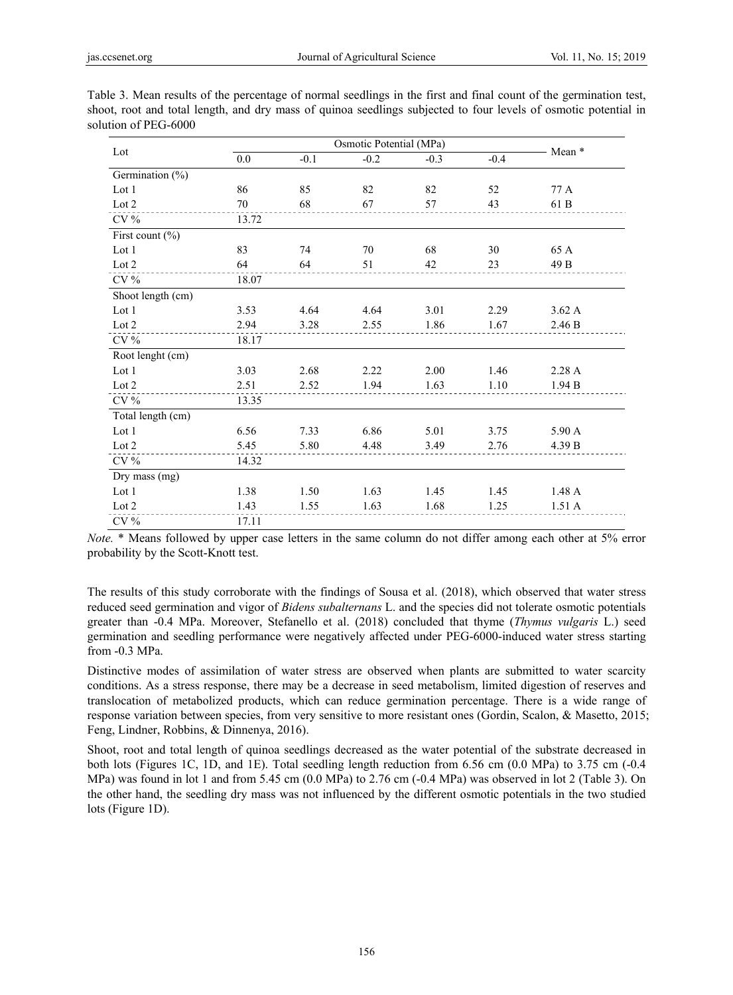| Lot                 | 0.0   | $-0.1$ | $-0.2$ | $-0.3$ | $-0.4$ | Mean * |
|---------------------|-------|--------|--------|--------|--------|--------|
| Germination $(\%)$  |       |        |        |        |        |        |
| Lot 1               | 86    | 85     | 82     | 82     | 52     | 77 A   |
| Lot 2               | 70    | 68     | 67     | 57     | 43     | 61 B   |
| $CV\%$              | 13.72 |        |        |        |        |        |
| First count $(\% )$ |       |        |        |        |        |        |
| Lot $1$             | 83    | 74     | 70     | 68     | 30     | 65 A   |
| Lot 2               | 64    | 64     | 51     | 42     | 23     | 49 B   |
| CV %                | 18.07 |        |        |        |        |        |
| Shoot length (cm)   |       |        |        |        |        |        |
| Lot 1               | 3.53  | 4.64   | 4.64   | 3.01   | 2.29   | 3.62 A |
| Lot 2               | 2.94  | 3.28   | 2.55   | 1.86   | 1.67   | 2.46 B |
| $CV\%$              | 18.17 |        |        |        |        |        |
| Root lenght (cm)    |       |        |        |        |        |        |
| Lot 1               | 3.03  | 2.68   | 2.22   | 2.00   | 1.46   | 2.28A  |
| Lot 2               | 2.51  | 2.52   | 1.94   | 1.63   | 1.10   | 1.94 B |
| $\rm{CV}$ %         | 13.35 |        |        |        |        |        |
| Total length (cm)   |       |        |        |        |        |        |
| Lot 1               | 6.56  | 7.33   | 6.86   | 5.01   | 3.75   | 5.90 A |
| Lot 2               | 5.45  | 5.80   | 4.48   | 3.49   | 2.76   | 4.39 B |
| $CV\%$              | 14.32 |        |        |        |        |        |
| Dry mass (mg)       |       |        |        |        |        |        |
| Lot 1               | 1.38  | 1.50   | 1.63   | 1.45   | 1.45   | 1.48 A |
| Lot 2               | 1.43  | 1.55   | 1.63   | 1.68   | 1.25   | 1.51A  |
| $\rm{CV}$ %         | 17.11 |        |        |        |        |        |

Table 3. Mean results of the percentage of normal seedlings in the first and final count of the germination test, shoot, root and total length, and dry mass of quinoa seedlings subjected to four levels of osmotic potential in solution of PEG-6000

*Note.* \* Means followed by upper case letters in the same column do not differ among each other at 5% error probability by the Scott-Knott test.

The results of this study corroborate with the findings of Sousa et al. (2018), which observed that water stress reduced seed germination and vigor of *Bidens subalternans* L. and the species did not tolerate osmotic potentials greater than -0.4 MPa. Moreover, Stefanello et al. (2018) concluded that thyme (*Thymus vulgaris* L.) seed germination and seedling performance were negatively affected under PEG-6000-induced water stress starting from -0.3 MPa.

Distinctive modes of assimilation of water stress are observed when plants are submitted to water scarcity conditions. As a stress response, there may be a decrease in seed metabolism, limited digestion of reserves and translocation of metabolized products, which can reduce germination percentage. There is a wide range of response variation between species, from very sensitive to more resistant ones (Gordin, Scalon, & Masetto, 2015; Feng, Lindner, Robbins, & Dinnenya, 2016).

Shoot, root and total length of quinoa seedlings decreased as the water potential of the substrate decreased in both lots (Figures 1C, 1D, and 1E). Total seedling length reduction from 6.56 cm (0.0 MPa) to 3.75 cm (-0.4 MPa) was found in lot 1 and from 5.45 cm (0.0 MPa) to 2.76 cm (-0.4 MPa) was observed in lot 2 (Table 3). On the other hand, the seedling dry mass was not influenced by the different osmotic potentials in the two studied lots (Figure 1D).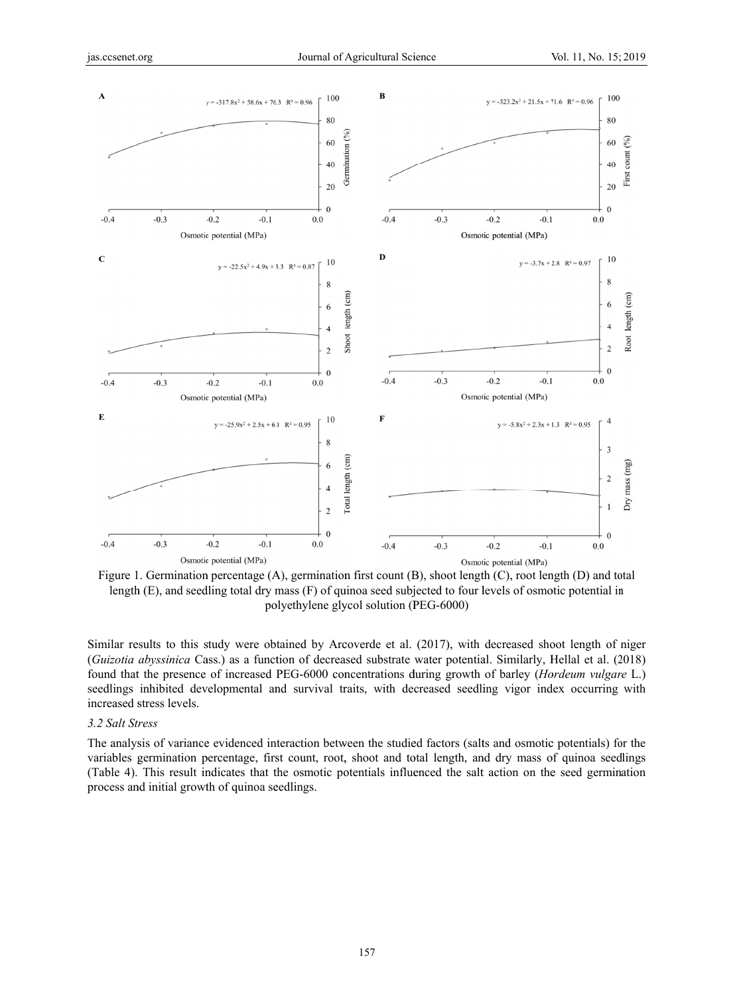

Figure 1. Germination percentage (A), germination first count (B), shoot length (C), root length (D) and total length  $(E)$ , and seedling total dry mass  $(F)$  of quinoa seed subjected to four levels of osmotic potential in polyethylene glycol solution (PEG-6000)

Similar results to this study were obtained by Arcoverde et al. (2017), with decreased shoot length of niger (Guizotia abyssinica Cass.) as a function of decreased substrate water potential. Similarly, Hellal et al. (2018) found that the presence of increased PEG-6000 concentrations during growth of barley (Hordeum vulgare L.) seedlings inhibited developmental and survival traits, with decreased seedling vigor index occurring with increased stress levels.

# 3.2 Salt Stress

The analysis of variance evidenced interaction between the studied factors (salts and osmotic potentials) for the variables germination percentage, first count, root, shoot and total length, and dry mass of quinoa seedlings (Table 4). This result indicates that the osmotic potentials influenced the salt action on the seed germination process and initial growth of quinoa seedlings.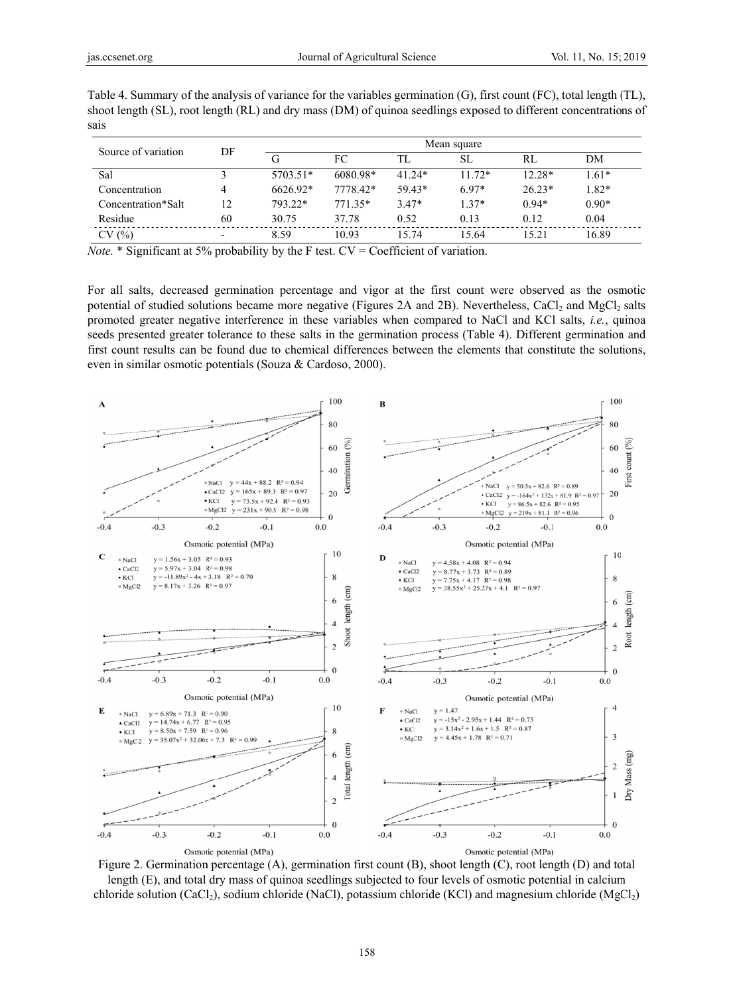|                     |    | Mean square |          |          |           |          |         |
|---------------------|----|-------------|----------|----------|-----------|----------|---------|
| Source of variation | DF |             | FC       | TL       | <b>SL</b> | RL       | DM      |
| Sal                 |    | $5703.51*$  | 6080.98* | $41.24*$ | $11.72*$  | $12.28*$ | $1.61*$ |
| Concentration       | 4  | 6626.92*    | 7778.42* | $59.43*$ | $6.97*$   | $26.23*$ | $1.82*$ |
| Concentration*Salt  | 12 | 793.22*     | 771.35*  | $3.47*$  | $1.37*$   | $0.94*$  | $0.90*$ |
| Residue             | 60 | 30.75       | 37.78    | 0.52     | 0.13      | 0.12     | 0.04    |
| CV (%)              |    | 8.59        | 10.93    | 15.74    | 15.64     | 15.21    | 16.89   |

Table 4. Summary of the analysis of variance for the variables germination  $(G)$ , first count  $(FC)$ , total length  $(T<sub>L</sub>)$ , shoot length (SL), root length (RL) and dry mass (DM) of quinoa seedlings exposed to different concentrations of sais

*Note.* \* Significant at 5% probability by the F test.  $CV = Coefficient of variation$ .

For all salts, decreased germination percentage and vigor at the first count were observed as the osmotic potential of studied solutions became more negative (Figures 2A and 2B). Nevertheless, CaCl<sub>2</sub> and MgCl<sub>2</sub> salts promoted greater negative interference in these variables when compared to NaCl and KCl salts, *i.e.*, quinoa seeds presented greater tolerance to these salts in the germination process (Table 4). Different germination and first count results can be found due to chemical differences between the elements that constitute the solutions, even in similar osmotic potentials (Souza & Cardoso, 2000).



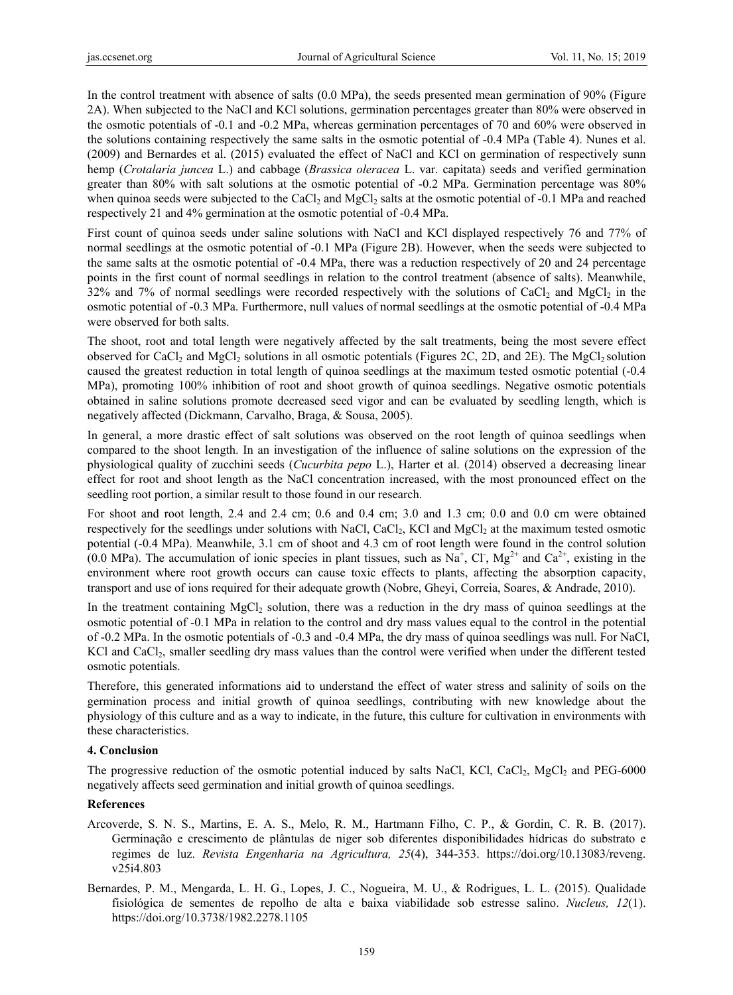In the control treatment with absence of salts (0.0 MPa), the seeds presented mean germination of 90% (Figure 2A). When subjected to the NaCl and KCl solutions, germination percentages greater than 80% were observed in the osmotic potentials of -0.1 and -0.2 MPa, whereas germination percentages of 70 and 60% were observed in the solutions containing respectively the same salts in the osmotic potential of -0.4 MPa (Table 4). Nunes et al. (2009) and Bernardes et al. (2015) evaluated the effect of NaCl and KCl on germination of respectively sunn hemp (*Crotalaria juncea* L.) and cabbage (*Brassica oleracea* L. var. capitata) seeds and verified germination greater than 80% with salt solutions at the osmotic potential of -0.2 MPa. Germination percentage was 80% when quinoa seeds were subjected to the CaCl<sub>2</sub> and MgCl<sub>2</sub> salts at the osmotic potential of  $-0.1$  MPa and reached respectively 21 and 4% germination at the osmotic potential of -0.4 MPa.

First count of quinoa seeds under saline solutions with NaCl and KCl displayed respectively 76 and 77% of normal seedlings at the osmotic potential of -0.1 MPa (Figure 2B). However, when the seeds were subjected to the same salts at the osmotic potential of -0.4 MPa, there was a reduction respectively of 20 and 24 percentage points in the first count of normal seedlings in relation to the control treatment (absence of salts). Meanwhile, 32% and 7% of normal seedlings were recorded respectively with the solutions of CaCl<sub>2</sub> and MgCl<sub>2</sub> in the osmotic potential of -0.3 MPa. Furthermore, null values of normal seedlings at the osmotic potential of -0.4 MPa were observed for both salts.

The shoot, root and total length were negatively affected by the salt treatments, being the most severe effect observed for CaCl<sub>2</sub> and MgCl<sub>2</sub> solutions in all osmotic potentials (Figures 2C, 2D, and 2E). The MgCl<sub>2</sub> solution caused the greatest reduction in total length of quinoa seedlings at the maximum tested osmotic potential (-0.4 MPa), promoting 100% inhibition of root and shoot growth of quinoa seedlings. Negative osmotic potentials obtained in saline solutions promote decreased seed vigor and can be evaluated by seedling length, which is negatively affected (Dickmann, Carvalho, Braga, & Sousa, 2005).

In general, a more drastic effect of salt solutions was observed on the root length of quinoa seedlings when compared to the shoot length. In an investigation of the influence of saline solutions on the expression of the physiological quality of zucchini seeds (*Cucurbita pepo* L.), Harter et al. (2014) observed a decreasing linear effect for root and shoot length as the NaCl concentration increased, with the most pronounced effect on the seedling root portion, a similar result to those found in our research.

For shoot and root length, 2.4 and 2.4 cm; 0.6 and 0.4 cm; 3.0 and 1.3 cm; 0.0 and 0.0 cm were obtained respectively for the seedlings under solutions with NaCl, CaCl<sub>2</sub>, KCl and MgCl<sub>2</sub> at the maximum tested osmotic potential (-0.4 MPa). Meanwhile, 3.1 cm of shoot and 4.3 cm of root length were found in the control solution (0.0 MPa). The accumulation of ionic species in plant tissues, such as Na<sup>+</sup>, Cl<sup>-</sup>, Mg<sup>2+</sup> and Ca<sup>2+</sup>, existing in the environment where root growth occurs can cause toxic effects to plants, affecting the absorption capacity, transport and use of ions required for their adequate growth (Nobre, Gheyi, Correia, Soares, & Andrade, 2010).

In the treatment containing MgCl<sub>2</sub> solution, there was a reduction in the dry mass of quinoa seedlings at the osmotic potential of -0.1 MPa in relation to the control and dry mass values equal to the control in the potential of -0.2 MPa. In the osmotic potentials of -0.3 and -0.4 MPa, the dry mass of quinoa seedlings was null. For NaCl, KCl and CaCl<sub>2</sub>, smaller seedling dry mass values than the control were verified when under the different tested osmotic potentials.

Therefore, this generated informations aid to understand the effect of water stress and salinity of soils on the germination process and initial growth of quinoa seedlings, contributing with new knowledge about the physiology of this culture and as a way to indicate, in the future, this culture for cultivation in environments with these characteristics.

# **4. Conclusion**

The progressive reduction of the osmotic potential induced by salts NaCl, KCl, CaCl<sub>2</sub>, MgCl<sub>2</sub> and PEG-6000 negatively affects seed germination and initial growth of quinoa seedlings.

## **References**

- Arcoverde, S. N. S., Martins, E. A. S., Melo, R. M., Hartmann Filho, C. P., & Gordin, C. R. B. (2017). Germinação e crescimento de plântulas de niger sob diferentes disponibilidades hídricas do substrato e regimes de luz. *Revista Engenharia na Agricultura, 25*(4), 344-353. https://doi.org/10.13083/reveng. v25i4.803
- Bernardes, P. M., Mengarda, L. H. G., Lopes, J. C., Nogueira, M. U., & Rodrigues, L. L. (2015). Qualidade fisiológica de sementes de repolho de alta e baixa viabilidade sob estresse salino. *Nucleus, 12*(1). https://doi.org/10.3738/1982.2278.1105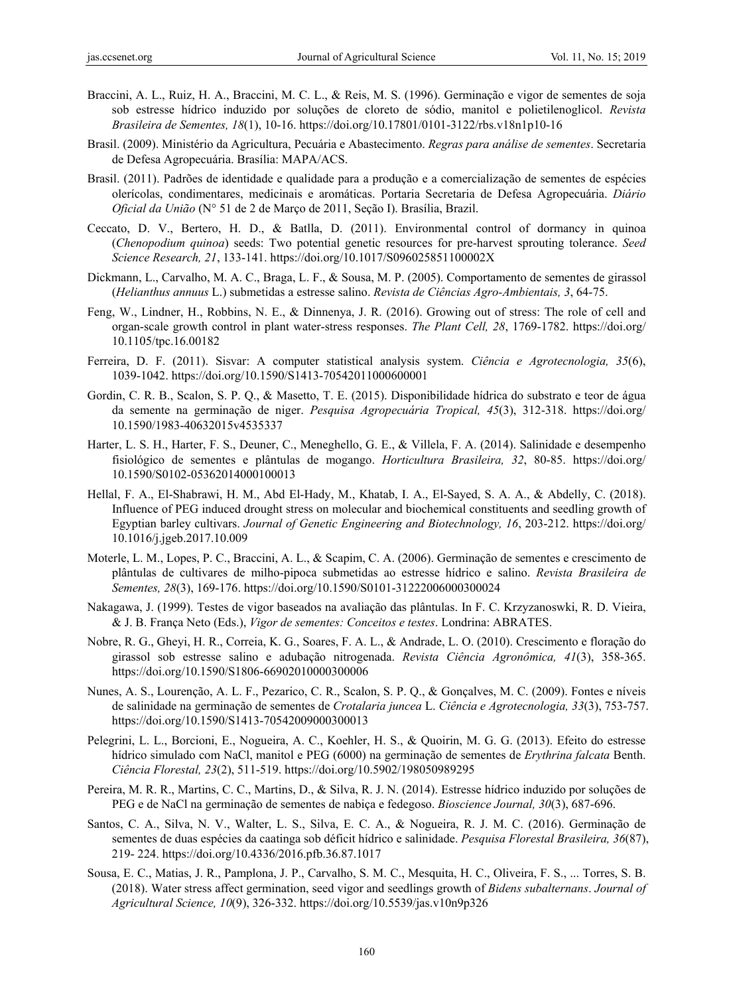- Braccini, A. L., Ruiz, H. A., Braccini, M. C. L., & Reis, M. S. (1996). Germinação e vigor de sementes de soja sob estresse hídrico induzido por soluções de cloreto de sódio, manitol e polietilenoglicol. *Revista Brasileira de Sementes, 18*(1), 10-16. https://doi.org/10.17801/0101-3122/rbs.v18n1p10-16
- Brasil. (2009). Ministério da Agricultura, Pecuária e Abastecimento. *Regras para análise de sementes*. Secretaria de Defesa Agropecuária. Brasília: MAPA/ACS.
- Brasil. (2011). Padrões de identidade e qualidade para a produção e a comercialização de sementes de espécies olerícolas, condimentares, medicinais e aromáticas. Portaria Secretaria de Defesa Agropecuária. *Diário Oficial da União* (N° 51 de 2 de Março de 2011, Seção I). Brasília, Brazil.
- Ceccato, D. V., Bertero, H. D., & Batlla, D. (2011). Environmental control of dormancy in quinoa (*Chenopodium quinoa*) seeds: Two potential genetic resources for pre-harvest sprouting tolerance. *Seed Science Research, 21*, 133-141. https://doi.org/10.1017/S096025851100002X
- Dickmann, L., Carvalho, M. A. C., Braga, L. F., & Sousa, M. P. (2005). Comportamento de sementes de girassol (*Helianthus annuus* L.) submetidas a estresse salino. *Revista de Ciências Agro-Ambientais, 3*, 64-75.
- Feng, W., Lindner, H., Robbins, N. E., & Dinnenya, J. R. (2016). Growing out of stress: The role of cell and organ-scale growth control in plant water-stress responses. *The Plant Cell, 28*, 1769-1782. https://doi.org/ 10.1105/tpc.16.00182
- Ferreira, D. F. (2011). Sisvar: A computer statistical analysis system. *Ciência e Agrotecnologia, 35*(6), 1039-1042. https://doi.org/10.1590/S1413-70542011000600001
- Gordin, C. R. B., Scalon, S. P. Q., & Masetto, T. E. (2015). Disponibilidade hídrica do substrato e teor de água da semente na germinação de niger. *Pesquisa Agropecuária Tropical, 45*(3), 312-318. https://doi.org/ 10.1590/1983-40632015v4535337
- Harter, L. S. H., Harter, F. S., Deuner, C., Meneghello, G. E., & Villela, F. A. (2014). Salinidade e desempenho fisiológico de sementes e plântulas de mogango. *Horticultura Brasileira, 32*, 80-85. https://doi.org/ 10.1590/S0102-05362014000100013
- Hellal, F. A., El-Shabrawi, H. M., Abd El-Hady, M., Khatab, I. A., El-Sayed, S. A. A., & Abdelly, C. (2018). Influence of PEG induced drought stress on molecular and biochemical constituents and seedling growth of Egyptian barley cultivars. *Journal of Genetic Engineering and Biotechnology, 16*, 203-212. https://doi.org/ 10.1016/j.jgeb.2017.10.009
- Moterle, L. M., Lopes, P. C., Braccini, A. L., & Scapim, C. A. (2006). Germinação de sementes e crescimento de plântulas de cultivares de milho-pipoca submetidas ao estresse hídrico e salino. *Revista Brasileira de Sementes, 28*(3), 169-176. https://doi.org/10.1590/S0101-31222006000300024
- Nakagawa, J. (1999). Testes de vigor baseados na avaliação das plântulas. In F. C. Krzyzanoswki, R. D. Vieira, & J. B. França Neto (Eds.), *Vigor de sementes: Conceitos e testes*. Londrina: ABRATES.
- Nobre, R. G., Gheyi, H. R., Correia, K. G., Soares, F. A. L., & Andrade, L. O. (2010). Crescimento e floração do girassol sob estresse salino e adubação nitrogenada. *Revista Ciência Agronômica, 41*(3), 358-365. https://doi.org/10.1590/S1806-66902010000300006
- Nunes, A. S., Lourenção, A. L. F., Pezarico, C. R., Scalon, S. P. Q., & Gonçalves, M. C. (2009). Fontes e níveis de salinidade na germinação de sementes de *Crotalaria juncea* L. *Ciência e Agrotecnologia, 33*(3), 753-757. https://doi.org/10.1590/S1413-70542009000300013
- Pelegrini, L. L., Borcioni, E., Nogueira, A. C., Koehler, H. S., & Quoirin, M. G. G. (2013). Efeito do estresse hídrico simulado com NaCl, manitol e PEG (6000) na germinação de sementes de *Erythrina falcata* Benth. *Ciência Florestal, 23*(2), 511-519. https://doi.org/10.5902/198050989295
- Pereira, M. R. R., Martins, C. C., Martins, D., & Silva, R. J. N. (2014). Estresse hídrico induzido por soluções de PEG e de NaCl na germinação de sementes de nabiça e fedegoso. *Bioscience Journal, 30*(3), 687-696.
- Santos, C. A., Silva, N. V., Walter, L. S., Silva, E. C. A., & Nogueira, R. J. M. C. (2016). Germinação de sementes de duas espécies da caatinga sob déficit hídrico e salinidade. *Pesquisa Florestal Brasileira, 36*(87), 219- 224. https://doi.org/10.4336/2016.pfb.36.87.1017
- Sousa, E. C., Matias, J. R., Pamplona, J. P., Carvalho, S. M. C., Mesquita, H. C., Oliveira, F. S., ... Torres, S. B. (2018). Water stress affect germination, seed vigor and seedlings growth of *Bidens subalternans*. *Journal of Agricultural Science, 10*(9), 326-332. https://doi.org/10.5539/jas.v10n9p326